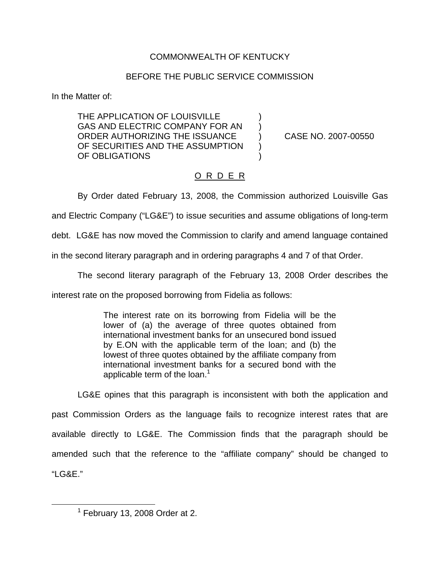## COMMONWEALTH OF KENTUCKY

## BEFORE THE PUBLIC SERVICE COMMISSION

In the Matter of:

THE APPLICATION OF LOUISVILLE GAS AND ELECTRIC COMPANY FOR AN ORDER AUTHORIZING THE ISSUANCE ) CASE NO. 2007-00550 OF SECURITIES AND THE ASSUMPTION OF OBLIGATIONS

## O R D E R

By Order dated February 13, 2008, the Commission authorized Louisville Gas

and Electric Company ("LG&E") to issue securities and assume obligations of long-term

debt. LG&E has now moved the Commission to clarify and amend language contained

in the second literary paragraph and in ordering paragraphs 4 and 7 of that Order.

The second literary paragraph of the February 13, 2008 Order describes the

interest rate on the proposed borrowing from Fidelia as follows:

The interest rate on its borrowing from Fidelia will be the lower of (a) the average of three quotes obtained from international investment banks for an unsecured bond issued by E.ON with the applicable term of the loan; and (b) the lowest of three quotes obtained by the affiliate company from international investment banks for a secured bond with the applicable term of the loan. $<sup>1</sup>$ </sup>

LG&E opines that this paragraph is inconsistent with both the application and past Commission Orders as the language fails to recognize interest rates that are available directly to LG&E. The Commission finds that the paragraph should be amended such that the reference to the "affiliate company" should be changed to "LG&E."

 $<sup>1</sup>$  February 13, 2008 Order at 2.</sup>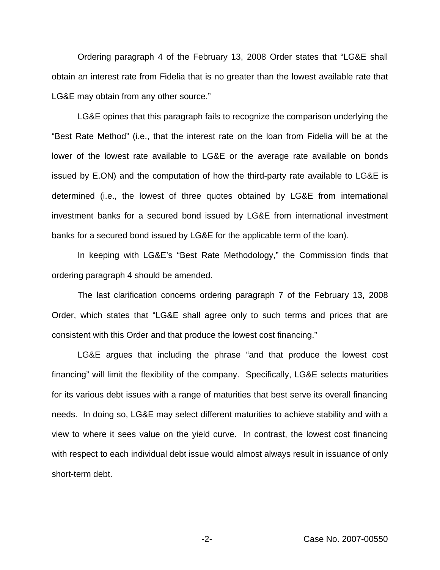Ordering paragraph 4 of the February 13, 2008 Order states that "LG&E shall obtain an interest rate from Fidelia that is no greater than the lowest available rate that LG&E may obtain from any other source."

LG&E opines that this paragraph fails to recognize the comparison underlying the "Best Rate Method" (i.e., that the interest rate on the loan from Fidelia will be at the lower of the lowest rate available to LG&E or the average rate available on bonds issued by E.ON) and the computation of how the third-party rate available to LG&E is determined (i.e., the lowest of three quotes obtained by LG&E from international investment banks for a secured bond issued by LG&E from international investment banks for a secured bond issued by LG&E for the applicable term of the loan).

In keeping with LG&E's "Best Rate Methodology," the Commission finds that ordering paragraph 4 should be amended.

The last clarification concerns ordering paragraph 7 of the February 13, 2008 Order, which states that "LG&E shall agree only to such terms and prices that are consistent with this Order and that produce the lowest cost financing."

LG&E argues that including the phrase "and that produce the lowest cost financing" will limit the flexibility of the company. Specifically, LG&E selects maturities for its various debt issues with a range of maturities that best serve its overall financing needs. In doing so, LG&E may select different maturities to achieve stability and with a view to where it sees value on the yield curve. In contrast, the lowest cost financing with respect to each individual debt issue would almost always result in issuance of only short-term debt.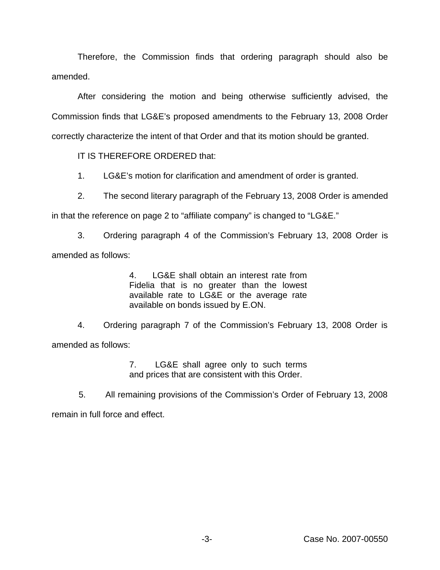Therefore, the Commission finds that ordering paragraph should also be amended.

After considering the motion and being otherwise sufficiently advised, the Commission finds that LG&E's proposed amendments to the February 13, 2008 Order correctly characterize the intent of that Order and that its motion should be granted.

IT IS THEREFORE ORDERED that:

1. LG&E's motion for clarification and amendment of order is granted.

2. The second literary paragraph of the February 13, 2008 Order is amended

in that the reference on page 2 to "affiliate company" is changed to "LG&E."

3. Ordering paragraph 4 of the Commission's February 13, 2008 Order is amended as follows:

> 4. LG&E shall obtain an interest rate from Fidelia that is no greater than the lowest available rate to LG&E or the average rate available on bonds issued by E.ON.

4. Ordering paragraph 7 of the Commission's February 13, 2008 Order is amended as follows:

> 7. LG&E shall agree only to such terms and prices that are consistent with this Order.

5. All remaining provisions of the Commission's Order of February 13, 2008 remain in full force and effect.